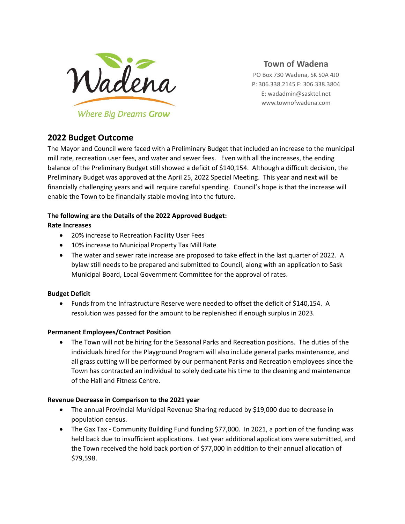

**Town of Wadena**

PO Box 730 Wadena, SK S0A 4J0 P: 306.338.2145 F: 306.338.3804 E: wadadmin@sasktel.net www.townofwadena.com

# **2022 Budget Outcome**

The Mayor and Council were faced with a Preliminary Budget that included an increase to the municipal mill rate, recreation user fees, and water and sewer fees. Even with all the increases, the ending balance of the Preliminary Budget still showed a deficit of \$140,154. Although a difficult decision, the Preliminary Budget was approved at the April 25, 2022 Special Meeting. This year and next will be financially challenging years and will require careful spending. Council's hope is that the increase will enable the Town to be financially stable moving into the future.

### **The following are the Details of the 2022 Approved Budget:**

## **Rate Increases**

- 20% increase to Recreation Facility User Fees
- 10% increase to Municipal Property Tax Mill Rate
- The water and sewer rate increase are proposed to take effect in the last quarter of 2022. A bylaw still needs to be prepared and submitted to Council, along with an application to Sask Municipal Board, Local Government Committee for the approval of rates.

### **Budget Deficit**

• Funds from the Infrastructure Reserve were needed to offset the deficit of \$140,154. A resolution was passed for the amount to be replenished if enough surplus in 2023.

### **Permanent Employees/Contract Position**

• The Town will not be hiring for the Seasonal Parks and Recreation positions. The duties of the individuals hired for the Playground Program will also include general parks maintenance, and all grass cutting will be performed by our permanent Parks and Recreation employees since the Town has contracted an individual to solely dedicate his time to the cleaning and maintenance of the Hall and Fitness Centre.

### **Revenue Decrease in Comparison to the 2021 year**

- The annual Provincial Municipal Revenue Sharing reduced by \$19,000 due to decrease in population census.
- The Gax Tax Community Building Fund funding \$77,000. In 2021, a portion of the funding was held back due to insufficient applications. Last year additional applications were submitted, and the Town received the hold back portion of \$77,000 in addition to their annual allocation of \$79,598.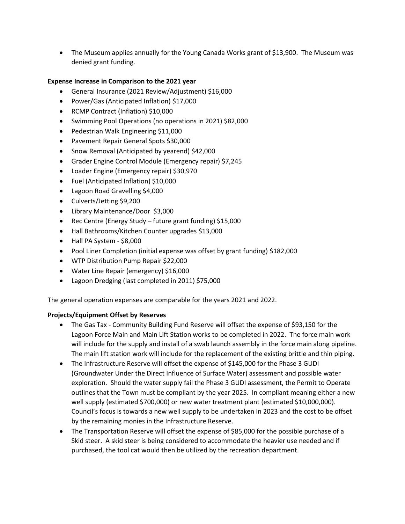• The Museum applies annually for the Young Canada Works grant of \$13,900. The Museum was denied grant funding.

#### **Expense Increase in Comparison to the 2021 year**

- General Insurance (2021 Review/Adjustment) \$16,000
- Power/Gas (Anticipated Inflation) \$17,000
- RCMP Contract (Inflation) \$10,000
- Swimming Pool Operations (no operations in 2021) \$82,000
- Pedestrian Walk Engineering \$11,000
- Pavement Repair General Spots \$30,000
- Snow Removal (Anticipated by yearend) \$42,000
- Grader Engine Control Module (Emergency repair) \$7,245
- Loader Engine (Emergency repair) \$30,970
- Fuel (Anticipated Inflation) \$10,000
- Lagoon Road Gravelling \$4,000
- Culverts/Jetting \$9,200
- Library Maintenance/Door \$3,000
- Rec Centre (Energy Study future grant funding) \$15,000
- Hall Bathrooms/Kitchen Counter upgrades \$13,000
- Hall PA System \$8,000
- Pool Liner Completion (initial expense was offset by grant funding) \$182,000
- WTP Distribution Pump Repair \$22,000
- Water Line Repair (emergency) \$16,000
- Lagoon Dredging (last completed in 2011) \$75,000

The general operation expenses are comparable for the years 2021 and 2022.

#### **Projects/Equipment Offset by Reserves**

- The Gas Tax Community Building Fund Reserve will offset the expense of \$93,150 for the Lagoon Force Main and Main Lift Station works to be completed in 2022. The force main work will include for the supply and install of a swab launch assembly in the force main along pipeline. The main lift station work will include for the replacement of the existing brittle and thin piping.
- The Infrastructure Reserve will offset the expense of \$145,000 for the Phase 3 GUDI (Groundwater Under the Direct Influence of Surface Water) assessment and possible water exploration. Should the water supply fail the Phase 3 GUDI assessment, the Permit to Operate outlines that the Town must be compliant by the year 2025. In compliant meaning either a new well supply (estimated \$700,000) or new water treatment plant (estimated \$10,000,000). Council's focus is towards a new well supply to be undertaken in 2023 and the cost to be offset by the remaining monies in the Infrastructure Reserve.
- The Transportation Reserve will offset the expense of \$85,000 for the possible purchase of a Skid steer. A skid steer is being considered to accommodate the heavier use needed and if purchased, the tool cat would then be utilized by the recreation department.